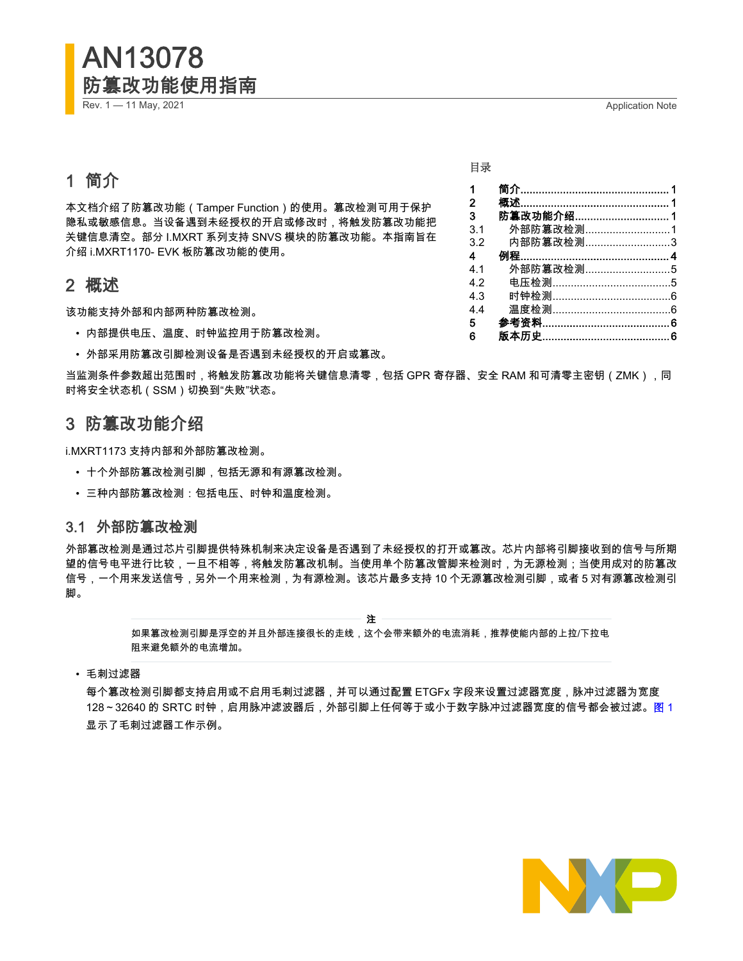# <span id="page-0-0"></span>AN13078 防篡改功能使用指南

Rev. 1 — 11 May, 2021 **Application Note Application Note Application Note** 

## 1 简介

本文档介绍了防篡改功能(Tamper Function)的使用。篡改检测可用于保护 隐私或敏感信息。当设备遇到未经授权的开启或修改时,将触发防篡改功能把 关键信息清空。部分 I.MXRT 系列支持 SNVS 模块的防篡改功能。本指南旨在 介绍 i.MXRT1170- EVK 板防篡改功能的使用。

## 2 概述

该功能支持外部和内部两种防篡改检测。

- 内部提供电压、温度、时钟监控用于防篡改检测。
- 外部采用防篡改引脚检测设备是否遇到未经授权的开启或篡改。

当监测条件参数超出范围时,将触发防篡改功能将关键信息清零,包括 GPR 寄存器、安全 RAM 和可清零主密钥(ZMK),同 时将安全状态机(SSM)切换到"失败"状态。

## 3 防篡改功能介绍

i.MXRT1173 支持内部和外部防篡改检测。

- 十个外部防篡改检测引脚,包括无源和有源篡改检测。
- 三种内部防篡改检测:包括电压、时钟和温度检测。

## 3.1 外部防篡改检测

外部篡改检测是通过芯片引脚提供特殊机制来决定设备是否遇到了未经授权的打开或篡改。芯片内部将引脚接收到的信号与所期 望的信号电平进行比较,一旦不相等,将触发防篡改机制。当使用单个防篡改管脚来检测时,为无源检测;当使用成对的防篡改 信号,一个用来发送信号,另外一个用来检测,为有源检测。该芯片最多支持 10 个无源篡改检测引脚,或者 5 对有源篡改检测引 脚。

注

如果篡改检测引脚是浮空的并且外部连接很长的走线,这个会带来额外的电流消耗,推荐使能内部的上拉/下拉电 阻来避免额外的电流增加。

• 毛刺过滤器

每个篡改检测引脚都支持启用或不启用毛刺过滤器,并可以通过配置 ETGFx 字段来设置过滤器宽度,脉冲过滤器为宽度 128~32640 的 SRTC 时钟,启用脉冲滤波器后,外部引脚上任何等于或小于数字脉冲过滤器宽度的信号都会被过滤。[图](#page-1-0) 1 显示了毛刺过滤器工作示例。



| $\mathbf 1$    |                   |  |
|----------------|-------------------|--|
| $\overline{2}$ |                   |  |
| 3              | 防 <b>篡改功能介绍</b> 1 |  |
| 3.1            | 外部防篡改检测1          |  |
| 3.2            | 内部防篡改检测3          |  |
| $\overline{4}$ |                   |  |
| 4.1            | 外部防篡改检测5          |  |
| 4.2            |                   |  |
| 4.3            |                   |  |
| 4.4            |                   |  |
| 5              |                   |  |
| 6              |                   |  |

目录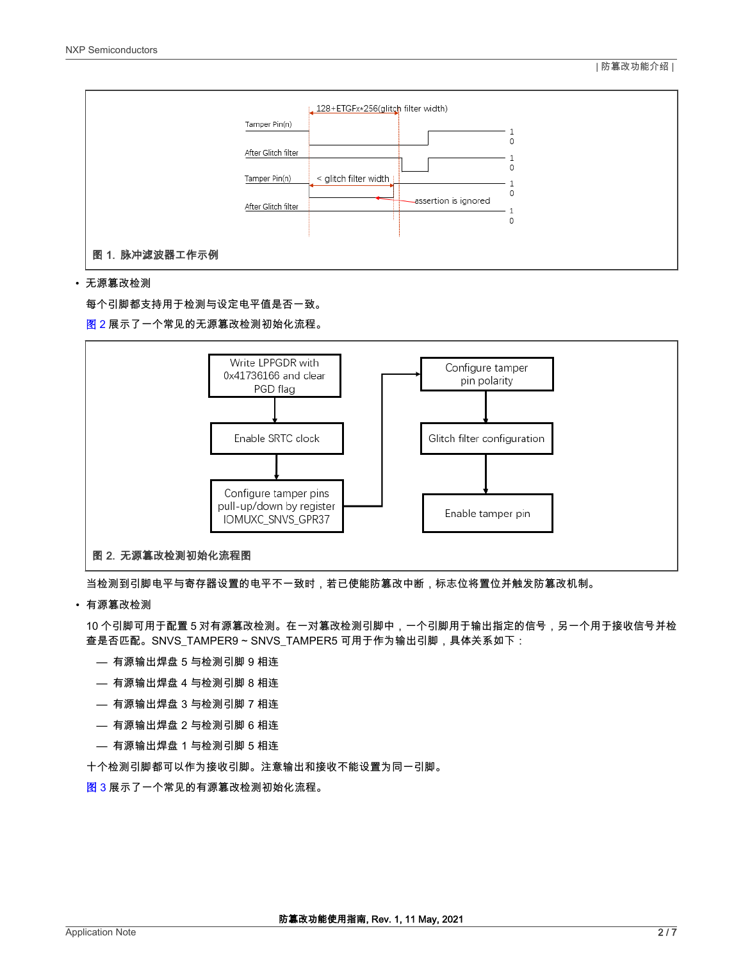<span id="page-1-0"></span>

#### • 无源篡改检测

每个引脚都支持用于检测与设定电平值是否一致。

图 2 展示了一个常见的无源篡改检测初始化流程。



当检测到引脚电平与寄存器设置的电平不一致时,若已使能防篡改中断,标志位将置位并触发防篡改机制。

#### • 有源篡改检测

10 个引脚可用于配置 5 对有源篡改检测。在一对篡改检测引脚中,一个引脚用于输出指定的信号,另一个用于接收信号并检 查是否匹配。SNVS\_TAMPER9 ~ SNVS\_TAMPER5 可用于作为输出引脚,具体关系如下:

- 有源输出焊盘 5 与检测引脚 9 相连
- 有源输出焊盘 4 与检测引脚 8 相连
- 有源输出焊盘 3 与检测引脚 7 相连
- 有源输出焊盘 2 与检测引脚 6 相连
- 有源输出焊盘 1 与检测引脚 5 相连

十个检测引脚都可以作为接收引脚。注意输出和接收不能设置为同一引脚。

[图](#page-2-0) 3 展示了一个常见的有源篡改检测初始化流程。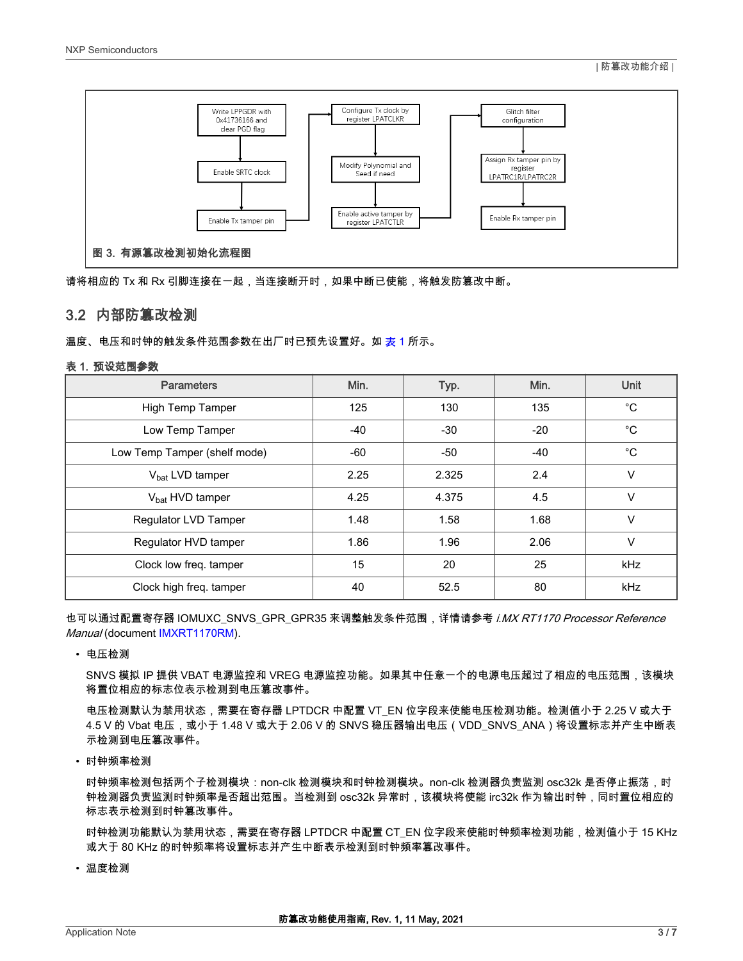<span id="page-2-0"></span>

请将相应的 Tx 和 Rx 引脚连接在一起,当连接断开时,如果中断已使能,将触发防篡改中断。

## 3.2 内部防篡改检测

温度、电压和时钟的触发条件范围参数在出厂时已预先设置好。如 <u>表</u> 1 所示。

#### 表 1. 预设范围参数

| <b>Parameters</b>            | Min.  | Typ.  | Min.  | Unit         |
|------------------------------|-------|-------|-------|--------------|
| High Temp Tamper             | 125   | 130   | 135   | $^{\circ}$ C |
| Low Temp Tamper              | $-40$ | $-30$ | $-20$ | $^{\circ}C$  |
| Low Temp Tamper (shelf mode) | -60   | $-50$ | -40   | $^{\circ}$ C |
| V <sub>bat</sub> LVD tamper  | 2.25  | 2.325 | 2.4   | V            |
| $V_{\text{hat}}$ HVD tamper  | 4.25  | 4.375 | 4.5   | $\vee$       |
| Regulator LVD Tamper         | 1.48  | 1.58  | 1.68  | $\vee$       |
| Regulator HVD tamper         | 1.86  | 1.96  | 2.06  | $\vee$       |
| Clock low freq. tamper       | 15    | 20    | 25    | <b>kHz</b>   |
| Clock high freq. tamper      | 40    | 52.5  | 80    | <b>kHz</b>   |

也可以通过配置寄存器 IOMUXC\_SNVS\_GPR\_GPR35 来调整触发条件范围,详情请参考 *i.MX RT1170 Processor Reference* Manual (document [IMXRT1170RM](https://www.nxp.com/webapp/Download?colCode=IMXRT1170RM)).

• 电压检测

SNVS 模拟 IP 提供 VBAT 电源监控和 VREG 电源监控功能。如果其中任意一个的电源电压超过了相应的电压范围,该模块 将置位相应的标志位表示检测到电压篡改事件。

电压检测默认为禁用状态,需要在寄存器 LPTDCR 中配置 VT\_EN 位字段来使能电压检测功能。检测值小于 2.25 V 或大于 4.5 V 的 Vbat 电压,或小于 1.48 V 或大于 2.06 V 的 SNVS 稳压器输出电压(VDD\_SNVS\_ANA)将设置标志并产生中断表 示检测到电压篡改事件。

• 时钟频率检测

时钟频率检测包括两个子检测模块:non-clk 检测模块和时钟检测模块。non-clk 检测器负责监测 osc32k 是否停止振荡,时 钟检测器负责监测时钟频率是否超出范围。当检测到 osc32k 异常时,该模块将使能 irc32k 作为输出时钟,同时置位相应的 标志表示检测到时钟篡改事件。

时钟检测功能默认为禁用状态,需要在寄存器 LPTDCR 中配置 CT\_EN 位字段来使能时钟频率检测功能,检测值小于 15 KHz 或大于 80 KHz 的时钟频率将设置标志并产生中断表示检测到时钟频率篡改事件。

• 温度检测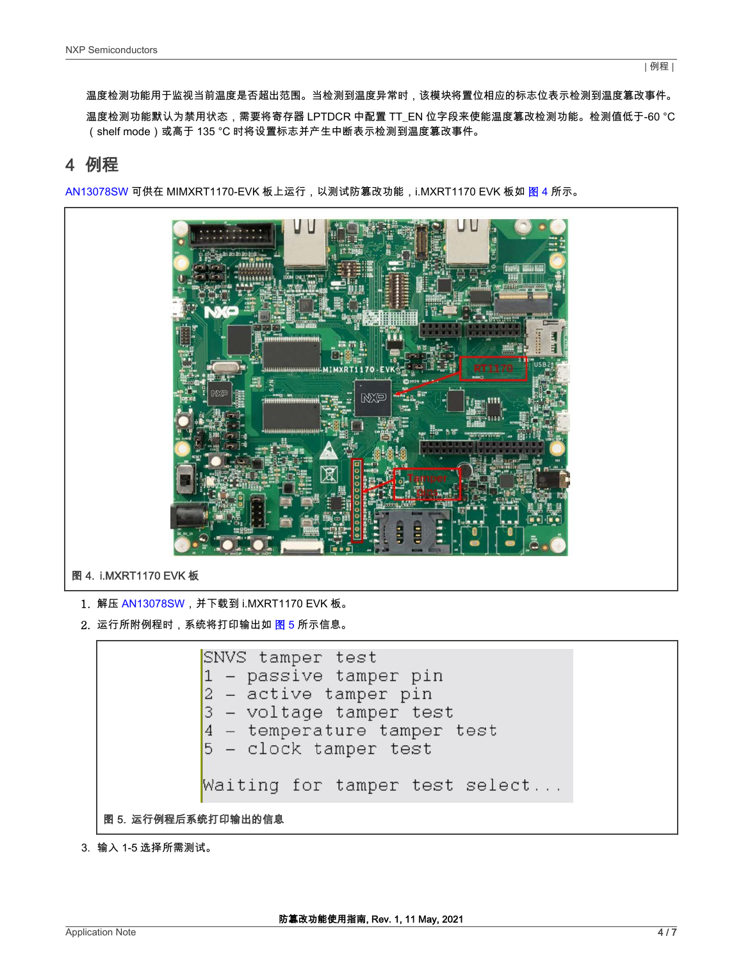<span id="page-3-0"></span>温度检测功能用于监视当前温度是否超出范围。当检测到温度异常时,该模块将置位相应的标志位表示检测到温度篡改事件。

温度检测功能默认为禁用状态,需要将寄存器 LPTDCR 中配置 TT\_EN 位字段来使能温度篡改检测功能。检测值低于-60 °C (shelf mode)或高于 135 °C 时将设置标志并产生中断表示检测到温度篡改事件。

## 4 例程

[AN13078SW](https://www.nxp.com/docs/en/application-note-software/AN13078SW.zip) 可供在 MIMXRT1170-EVK 板上运行,以测试防篡改功能,i.MXRT1170 EVK 板如 图 4 所示。



2. 运行所附例程时,系统将打印输出如图 5 所示信息。

SNVS tamper test 1 - passive tamper pin  $2$  - active tamper pin 3 - voltage tamper test 4 - temperature tamper test  $5 - clock$  tamper test Waiting for tamper test select... 图 5. 运行例程后系统打印输出的信息

3. 输入 1-5 选择所需测试。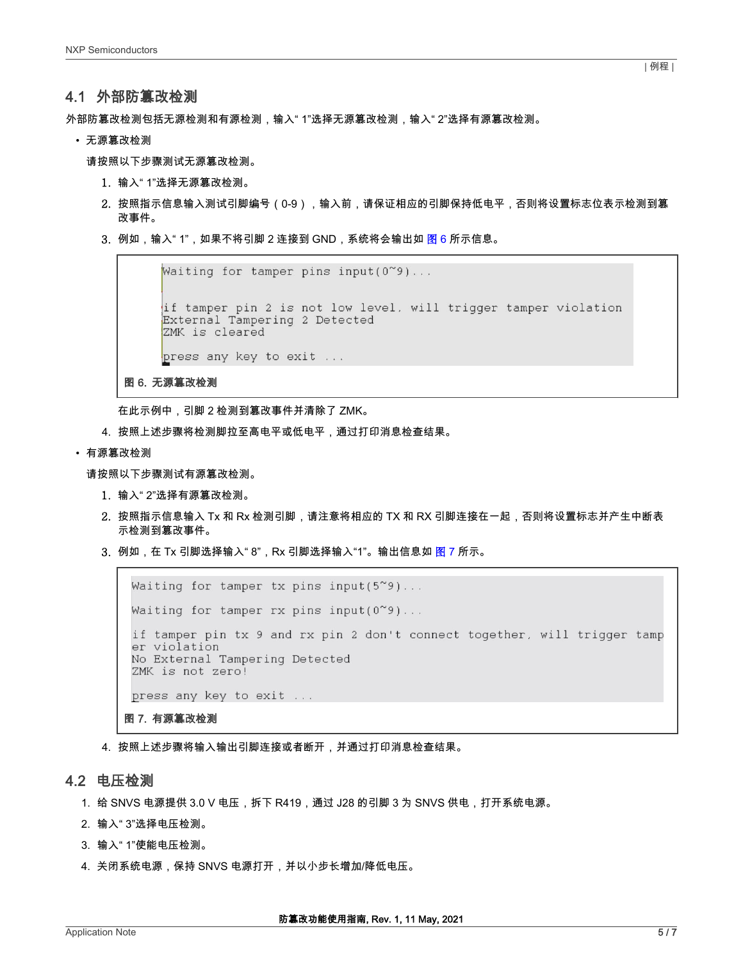## <span id="page-4-0"></span>4.1 外部防篡改检测

外部防篡改检测包括无源检测和有源检测,输入" 1"选择无源篡改检测,输入" 2"选择有源篡改检测。

• 无源篡改检测

请按照以下步骤测试无源篡改检测。

- 1. 输入" 1"选择无源篡改检测。
- 2. 按照指示信息输入测试引脚编号(0-9),输入前,请保证相应的引脚保持低电平,否则将设置标志位表示检测到篡 改事件。
- 3. 例如,输入" 1",如果不将引脚 2 连接到 GND,系统将会输出如 图 6 所示信息。

```
Waiting for tamper pins input (0^{\infty}9)...
if tamper pin 2 is not low level, will trigger tamper violation External Tampering 2 Detected
ZMK is cleared
press any key to exit ...
```
图 6. 无源篡改检测

在此示例中,引脚 2 检测到篡改事件并清除了 ZMK。

- 4. 按照上述步骤将检测脚拉至高电平或低电平,通过打印消息检查结果。
- 有源篡改检测

请按照以下步骤测试有源篡改检测。

- 1. 输入" 2"选择有源篡改检测。
- 2. 按照指示信息输入 Tx 和 Rx 检测引脚,请注意将相应的 TX 和 RX 引脚连接在一起,否则将设置标志并产生中断表 示检测到篡改事件。
- 3. 例如,在 Tx 引脚选择输入" 8",Rx 引脚选择输入"1"。输出信息如 <mark>图</mark> 7 所示。

```
Waiting for tamper tx pins input(5^{\sim}9)...
Waiting for tamper rx pins input(0^{\sim}9)...
 if tamper pin tx 9 and rx pin 2 don't connect together, will trigger tamp
 er violation
No External Tampering Detected
ZMK is not zero!
press any key to exit ...
图 7. 有源篡改检测
```
4. 按照上述步骤将输入输出引脚连接或者断开,并通过打印消息检查结果。

## 4.2 电压检测

- 1. 给 SNVS 电源提供 3.0 V 电压,拆下 R419,通过 J28 的引脚 3 为 SNVS 供电,打开系统电源。
- 2. 输入" 3"选择电压检测。
- 3. 输入" 1"使能电压检测。
- 4. 关闭系统电源,保持 SNVS 电源打开,并以小步长增加/降低电压。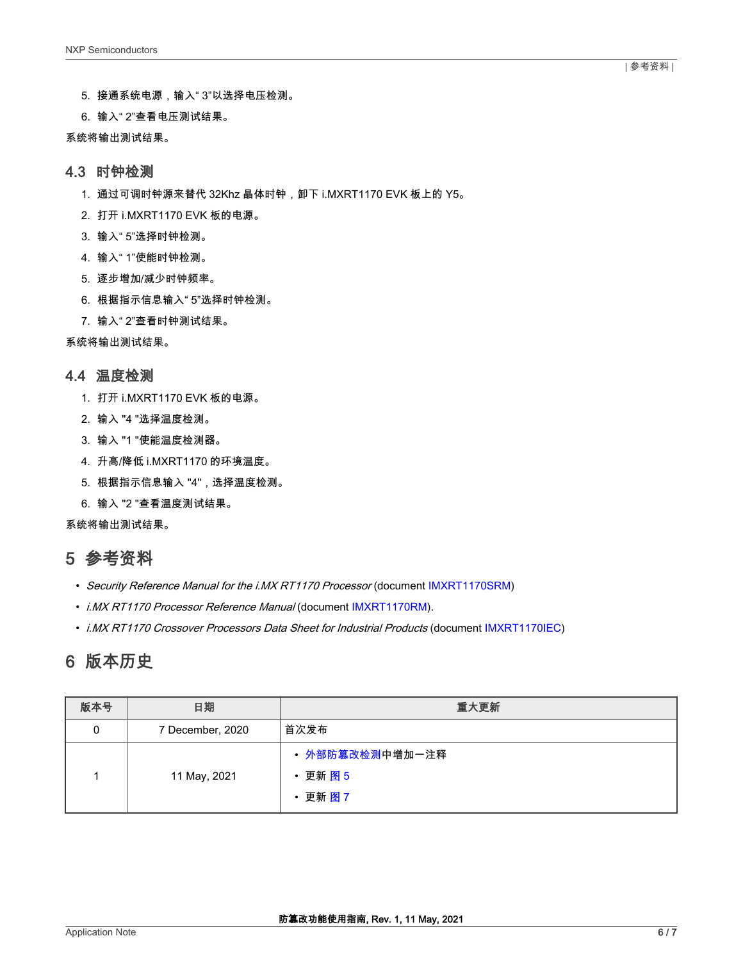- <span id="page-5-0"></span>5. 接通系统电源,输入" 3"以选择电压检测。
- 6. 输入" 2"查看电压测试结果。
- 系统将输出测试结果。

#### 4.3 时钟检测

- 1. 通过可调时钟源来替代 32Khz 晶体时钟,卸下 i.MXRT1170 EVK 板上的 Y5。
- 2. 打开 i.MXRT1170 EVK 板的电源。
- 3. 输入" 5"选择时钟检测。
- 4. 输入" 1"使能时钟检测。
- 5. 逐步增加/减少时钟频率。
- 6. 根据指示信息输入" 5"选择时钟检测。
- 7. 输入" 2"查看时钟测试结果。

系统将输出测试结果。

### 4.4 温度检测

- 1. 打开 i.MXRT1170 EVK 板的电源。
- 2. 输入 "4 "选择温度检测。
- 3. 输入 "1 "使能温度检测器。
- 4. 升高/降低 i.MXRT1170 的环境温度。
- 5. 根据指示信息输入 "4",选择温度检测。
- 6. 输入 "2 "查看温度测试结果。

系统将输出测试结果。

## 5 参考资料

- Security Reference Manual for the i.MX RT1170 Processor (document [IMXRT1170SRM](https://www.nxp.com/webapp/sps/download/mod_download.jsp?colCode=IMXRT1170SRM&appType=moderated))
- i.MX RT1170 Processor Reference Manual (document [IMXRT1170RM](https://www.nxp.com/webapp/Download?colCode=IMXRT1170RM)).
- i.MX RT1170 Crossover Processors Data Sheet for Industrial Products (document [IMXRT1170IEC\)](https://www.nxp.com/docs/en/nxp/data-sheets/IMXRT1170IEC.pdf)

## 6 版本历史

| 版本号 | 日期               | 重大更新                                          |
|-----|------------------|-----------------------------------------------|
| 0   | 7 December, 2020 | 首次发布                                          |
|     | 11 May, 2021     | • 外部防篡改检测中增加一注释<br><b>・更新 图 5</b><br>· 更新 图 7 |